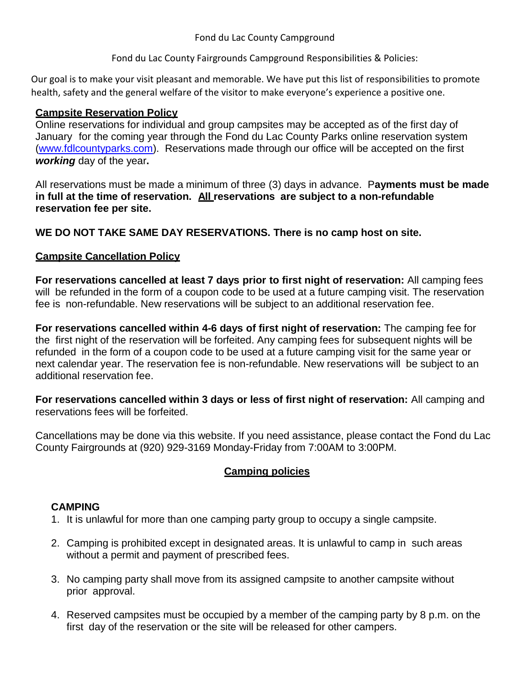Fond du Lac County Campground

Fond du Lac County Fairgrounds Campground Responsibilities & Policies:

Our goal is to make your visit pleasant and memorable. We have put this list of responsibilities to promote health, safety and the general welfare of the visitor to make everyone's experience a positive one.

### **Campsite Reservation Policy**

Online reservations for individual and group campsites may be accepted as of the first day of January for the coming year through the Fond du Lac County Parks online reservation system [\(www.fdlcountyparks.com\)](http://www.fdlcountyparks.com/). Reservations made through our office will be accepted on the first *working* day of the year**.**

All reservations must be made a minimum of three (3) days in advance. P**ayments must be made in full at the time of reservation. All reservations are subject to a non-refundable reservation fee per site.**

**WE DO NOT TAKE SAME DAY RESERVATIONS. There is no camp host on site.**

## **Campsite Cancellation Policy**

**For reservations cancelled at least 7 days prior to first night of reservation:** All camping fees will be refunded in the form of a coupon code to be used at a future camping visit. The reservation fee is non-refundable. New reservations will be subject to an additional reservation fee.

**For reservations cancelled within 4-6 days of first night of reservation:** The camping fee for the first night of the reservation will be forfeited. Any camping fees for subsequent nights will be refunded in the form of a coupon code to be used at a future camping visit for the same year or next calendar year. The reservation fee is non-refundable. New reservations will be subject to an additional reservation fee.

**For reservations cancelled within 3 days or less of first night of reservation:** All camping and reservations fees will be forfeited.

Cancellations may be done via this website. If you need assistance, please contact the Fond du Lac County Fairgrounds at (920) 929-3169 Monday-Friday from 7:00AM to 3:00PM.

# **Camping policies**

### **CAMPING**

- 1. It is unlawful for more than one camping party group to occupy a single campsite.
- 2. Camping is prohibited except in designated areas. It is unlawful to camp in such areas without a permit and payment of prescribed fees.
- 3. No camping party shall move from its assigned campsite to another campsite without prior approval.
- 4. Reserved campsites must be occupied by a member of the camping party by 8 p.m. on the first day of the reservation or the site will be released for other campers.